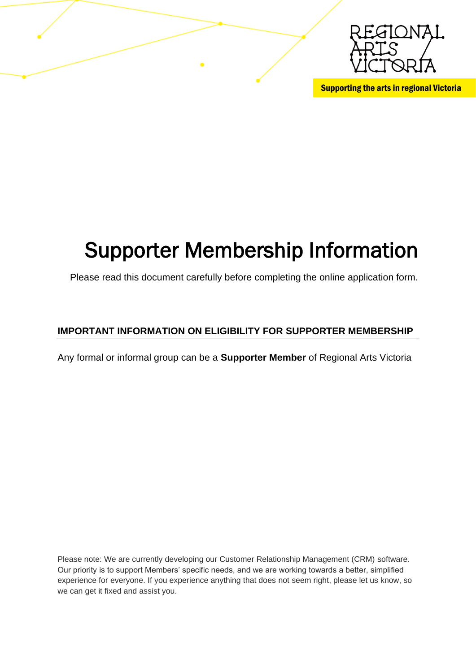

Supporting the arts in regional Victoria

# Supporter Membership Information

Please read this document carefully before completing the online application form.

### **IMPORTANT INFORMATION ON ELIGIBILITY FOR SUPPORTER MEMBERSHIP**

Any formal or informal group can be a **Supporter Member** of Regional Arts Victoria

Please note: We are currently developing our Customer Relationship Management (CRM) software. Our priority is to support Members' specific needs, and we are working towards a better, simplified experience for everyone. If you experience anything that does not seem right, please let us know, so we can get it fixed and assist you.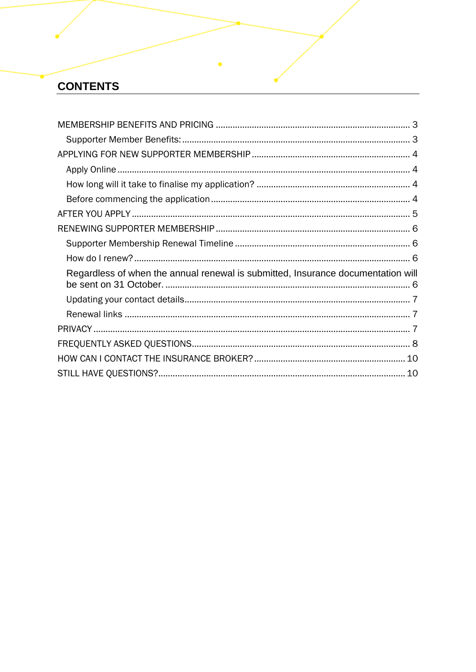# **CONTENTS**

| Regardless of when the annual renewal is submitted, Insurance documentation will |
|----------------------------------------------------------------------------------|
|                                                                                  |
|                                                                                  |
|                                                                                  |
|                                                                                  |
|                                                                                  |
|                                                                                  |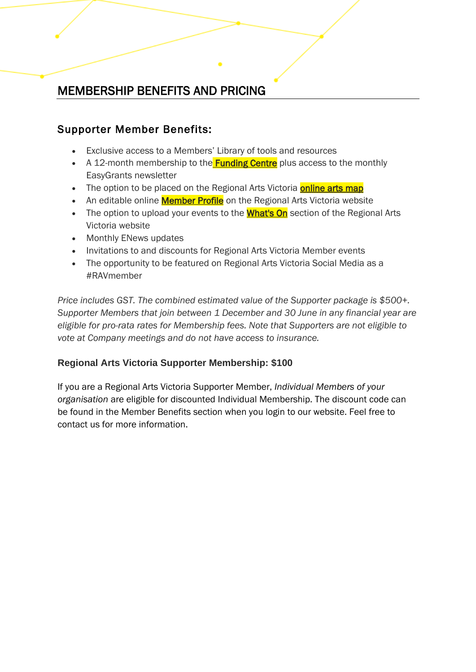# MEMBERSHIP BENEFITS AND PRICING

### Supporter Member Benefits:

- Exclusive access to a Members' Library of tools and resources
- A 12-month membership to the **Funding Centre** plus access to the monthly EasyGrants newsletter
- The option to be placed on the Regional Arts Victoria **[online arts map](http://www.rav.net.au/)**
- An editable online **[Member Profile](http://www.rav.net.au/members-and-networks/members)** on the Regional Arts Victoria website
- The option to upload your events to the **[What's On](http://www.rav.net.au/whats-on/member-events)** section of the Regional Arts Victoria website
- Monthly ENews updates
- Invitations to and discounts for Regional Arts Victoria Member events
- The opportunity to be featured on Regional Arts Victoria Social Media as a #RAVmember

*Price includes GST. The combined estimated value of the Supporter package is \$500+. Supporter Members that join between 1 December and 30 June in any financial year are eligible for pro-rata rates for Membership fees. Note that Supporters are not eligible to vote at Company meetings and do not have access to insurance.*

### **Regional Arts Victoria Supporter Membership: \$100**

If you are a Regional Arts Victoria Supporter Member, *Individual Members of your organisation* are eligible for discounted Individual Membership. The discount code can be found in the Member Benefits section when you login to our website. Feel free to contact us for more information.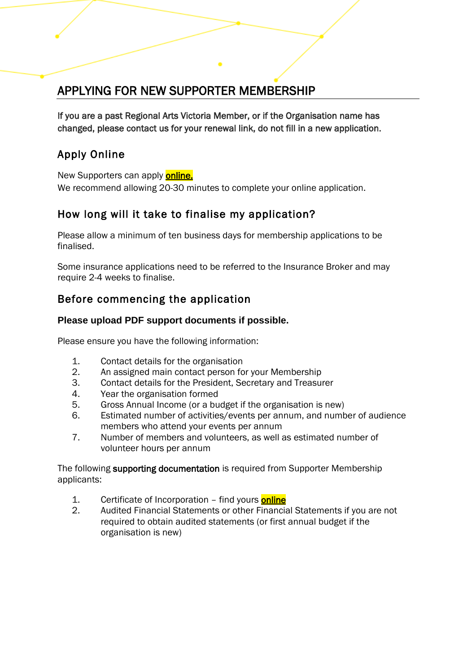# APPLYING FOR NEW SUPPORTER MEMBERSHIP

If you are a past Regional Arts Victoria Member, or if the Organisation name has changed, please contact us for your renewal link, do not fill in a new application.

### Apply Online

New Supporters can apply **online.** 

We recommend allowing 20-30 minutes to complete your online application.

### How long will it take to finalise my application?

Please allow a minimum of ten business days for membership applications to be finalised.

Some insurance applications need to be referred to the Insurance Broker and may require 2-4 weeks to finalise.

### Before commencing the application

### **Please upload PDF support documents if possible.**

Please ensure you have the following information:

- 1. Contact details for the organisation
- 2. An assigned main contact person for your Membership
- 3. Contact details for the President, Secretary and Treasurer
- 4. Year the organisation formed
- 5. Gross Annual Income (or a budget if the organisation is new)
- 6. Estimated number of activities/events per annum, and number of audience members who attend your events per annum
- 7. Number of members and volunteers, as well as estimated number of volunteer hours per annum

The following supporting documentation is required from Supporter Membership applicants:

- 1. Certificate of Incorporation find yours **online**
- 2. Audited Financial Statements or other Financial Statements if you are not required to obtain audited statements (or first annual budget if the organisation is new)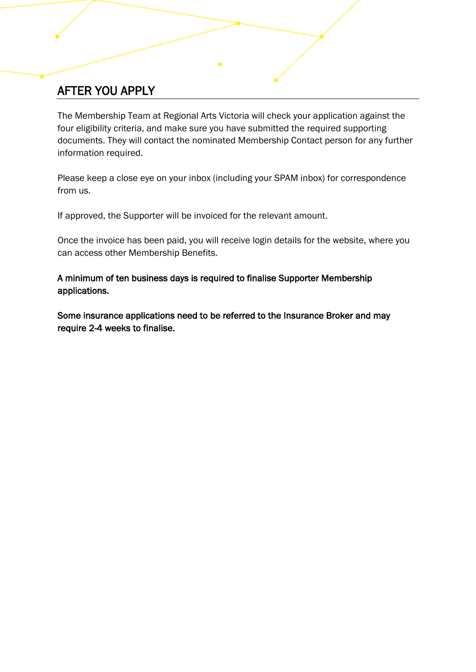# AFTER YOU APPLY

The Membership Team at Regional Arts Victoria will check your application against the four eligibility criteria, and make sure you have submitted the required supporting documents. They will contact the nominated Membership Contact person for any further information required.

Please keep a close eye on your inbox (including your SPAM inbox) for correspondence from us.

If approved, the Supporter will be invoiced for the relevant amount.

Once the invoice has been paid, you will receive login details for the website, where you can access other Membership Benefits.

A minimum of ten business days is required to finalise Supporter Membership applications.

Some insurance applications need to be referred to the Insurance Broker and may require 2-4 weeks to finalise.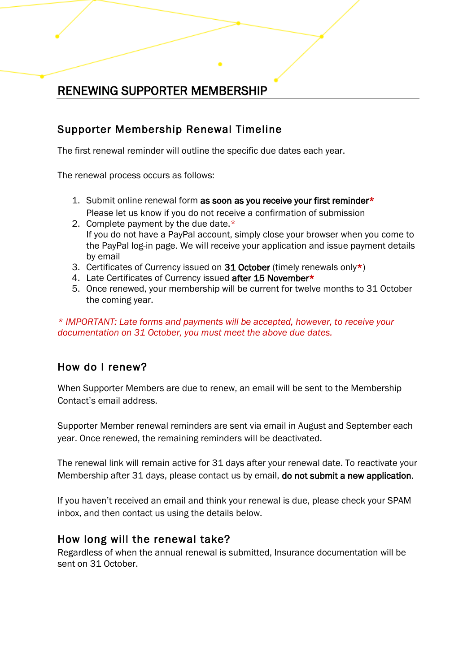# RENEWING SUPPORTER MEMBERSHIP

### Supporter Membership Renewal Timeline

The first renewal reminder will outline the specific due dates each year.

The renewal process occurs as follows:

- 1. Submit online renewal form as soon as you receive your first reminder\* Please let us know if you do not receive a confirmation of submission
- 2. Complete payment by the due date.\* If you do not have a PayPal account, simply close your browser when you come to the PayPal log-in page. We will receive your application and issue payment details by email
- 3. Certificates of Currency issued on 31 October (timely renewals only\*)
- 4. Late Certificates of Currency issued after 15 November\*
- 5. Once renewed, your membership will be current for twelve months to 31 October the coming year.

*\* IMPORTANT: Late forms and payments will be accepted, however, to receive your documentation on 31 October, you must meet the above due dates.*

### How do I renew?

When Supporter Members are due to renew, an email will be sent to the Membership Contact's email address.

Supporter Member renewal reminders are sent via email in August and September each year. Once renewed, the remaining reminders will be deactivated.

The renewal link will remain active for 31 days after your renewal date. To reactivate your Membership after 31 days, please contact us by email, do not submit a new application.

If you haven't received an email and think your renewal is due, please check your SPAM inbox, and then contact us using the details below.

### How long will the renewal take?

Regardless of when the annual renewal is submitted, Insurance documentation will be sent on 31 October.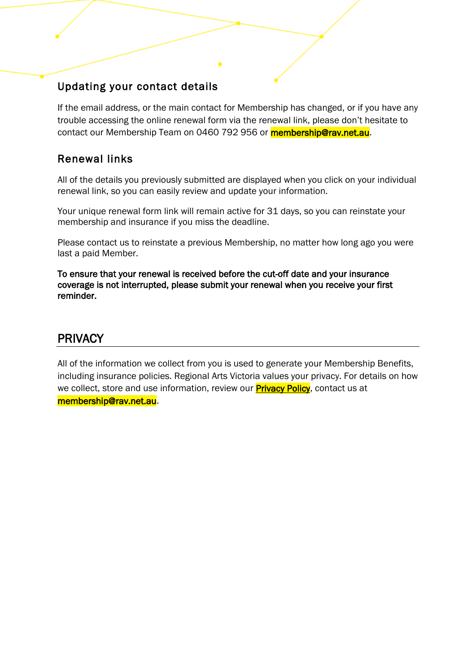### Updating your contact details

If the email address, or the main contact for Membership has changed, or if you have any trouble accessing the online renewal form via the renewal link, please don't hesitate to contact our Membership Team on 0460 792 956 or **membership@rav.net.au**.

### Renewal links

All of the details you previously submitted are displayed when you click on your individual renewal link, so you can easily review and update your information.

Your unique renewal form link will remain active for 31 days, so you can reinstate your membership and insurance if you miss the deadline.

Please contact us to reinstate a previous Membership, no matter how long ago you were last a paid Member.

To ensure that your renewal is received before the cut-off date and your insurance coverage is not interrupted, please submit your renewal when you receive your first reminder.

### PRIVACY

All of the information we collect from you is used to generate your Membership Benefits, including insurance policies. Regional Arts Victoria values your privacy. For details on how we collect, store and use information, review our **Privacy Policy**, contact us at [membership@rav.net.au.](mailto:membership@rav.net.au)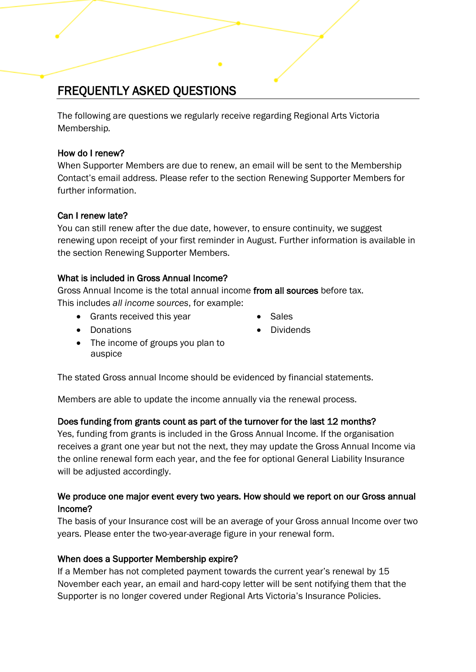# FREQUENTLY ASKED QUESTIONS

The following are questions we regularly receive regarding Regional Arts Victoria Membership*.* 

#### How do I renew?

When Supporter Members are due to renew, an email will be sent to the Membership Contact's email address. Please refer to the section Renewing Supporter Members for further information.

#### Can I renew late?

You can still renew after the due date, however, to ensure continuity, we suggest renewing upon receipt of your first reminder in August. Further information is available in the section Renewing Supporter Members.

#### What is included in Gross Annual Income?

Gross Annual Income is the total annual income from all sources before tax. This includes *all income sources*, for example:

- Grants received this year Sales
	-

• Dividends

- Donations
- The income of groups you plan to auspice

The stated Gross annual Income should be evidenced by financial statements.

Members are able to update the income annually via the renewal process.

### Does funding from grants count as part of the turnover for the last 12 months?

Yes, funding from grants is included in the Gross Annual Income. If the organisation receives a grant one year but not the next, they may update the Gross Annual Income via the online renewal form each year, and the fee for optional General Liability Insurance will be adjusted accordingly.

### We produce one major event every two years. How should we report on our Gross annual Income?

The basis of your Insurance cost will be an average of your Gross annual Income over two years. Please enter the two-year-average figure in your renewal form.

### When does a Supporter Membership expire?

If a Member has not completed payment towards the current year's renewal by 15 November each year, an email and hard-copy letter will be sent notifying them that the Supporter is no longer covered under Regional Arts Victoria's Insurance Policies.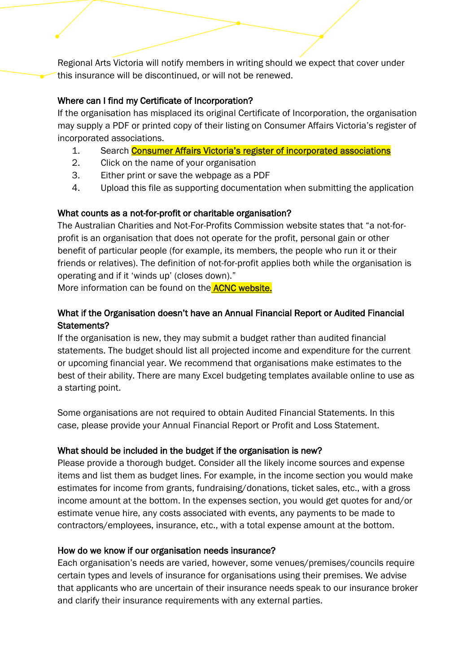Regional Arts Victoria will notify members in writing should we expect that cover under this insurance will be discontinued, or will not be renewed.

#### Where can I find my Certificate of Incorporation?

If the organisation has misplaced its original Certificate of Incorporation, the organisation may supply a PDF or printed copy of their listing on Consumer Affairs Victoria's register of incorporated associations.

- 1. Search **[Consumer Affairs Victoria's register of incorporated associations](https://www.consumer.vic.gov.au/clubs-and-fundraising/incorporated-associations/search-for-an-incorporated-association)**
- 2. Click on the name of your organisation
- 3. Either print or save the webpage as a PDF
- 4. Upload this file as supporting documentation when submitting the application

#### What counts as a not-for-profit or charitable organisation?

The Australian Charities and Not-For-Profits Commission website states that "a not-forprofit is an organisation that does not operate for the profit, personal gain or other benefit of particular people (for example, its members, the people who run it or their friends or relatives). The definition of not-for-profit applies both while the organisation is operating and if it 'winds up' (closes down)."

More information can be found on the **ACNC website.** 

### What if the Organisation doesn't have an Annual Financial Report or Audited Financial Statements?

If the organisation is new, they may submit a budget rather than audited financial statements. The budget should list all projected income and expenditure for the current or upcoming financial year. We recommend that organisations make estimates to the best of their ability. There are many Excel budgeting templates available online to use as a starting point.

Some organisations are not required to obtain Audited Financial Statements. In this case, please provide your Annual Financial Report or Profit and Loss Statement.

#### What should be included in the budget if the organisation is new?

Please provide a thorough budget. Consider all the likely income sources and expense items and list them as budget lines. For example, in the income section you would make estimates for income from grants, fundraising/donations, ticket sales, etc., with a gross income amount at the bottom. In the expenses section, you would get quotes for and/or estimate venue hire, any costs associated with events, any payments to be made to contractors/employees, insurance, etc., with a total expense amount at the bottom.

#### How do we know if our organisation needs insurance?

Each organisation's needs are varied, however, some venues/premises/councils require certain types and levels of insurance for organisations using their premises. We advise that applicants who are uncertain of their insurance needs speak to our insurance broker and clarify their insurance requirements with any external parties.